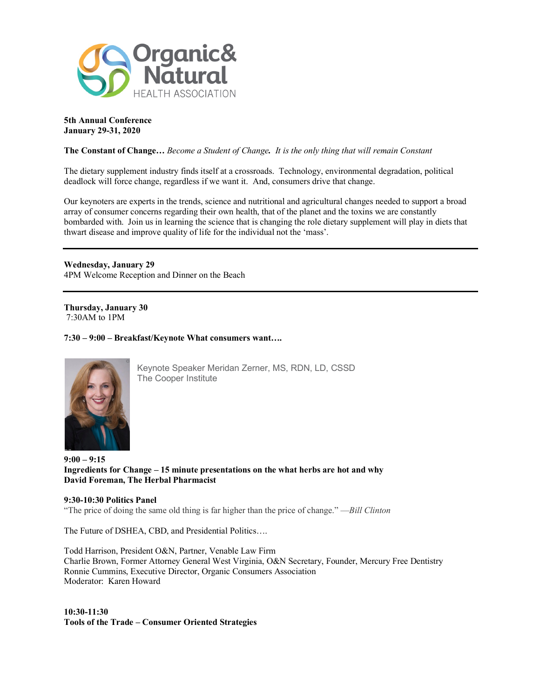

**5th Annual Conference January 29-31, 2020**

**The Constant of Change…** *Become a Student of Change. It is the only thing that will remain Constant*

The dietary supplement industry finds itself at a crossroads. Technology, environmental degradation, political deadlock will force change, regardless if we want it. And, consumers drive that change.

Our keynoters are experts in the trends, science and nutritional and agricultural changes needed to support a broad array of consumer concerns regarding their own health, that of the planet and the toxins we are constantly bombarded with. Join us in learning the science that is changing the role dietary supplement will play in diets that thwart disease and improve quality of life for the individual not the 'mass'.

**Wednesday, January 29** 4PM Welcome Reception and Dinner on the Beach

**Thursday, January 30** 7:30AM to 1PM

**7:30 – 9:00 – Breakfast/Keynote What consumers want….**



Keynote Speaker Meridan Zerner, MS, RDN, LD, CSSD The Cooper Institute

**9:00 – 9:15 Ingredients for Change – 15 minute presentations on the what herbs are hot and why David Foreman, The Herbal Pharmacist**

#### **9:30-10:30 Politics Panel**

"The price of doing the same old thing is far higher than the price of change." —*Bill Clinton*

The Future of DSHEA, CBD, and Presidential Politics….

Todd Harrison, President O&N, Partner, Venable Law Firm Charlie Brown, Former Attorney General West Virginia, O&N Secretary, Founder, Mercury Free Dentistry Ronnie Cummins, Executive Director, Organic Consumers Association Moderator: Karen Howard

**10:30-11:30 Tools of the Trade – Consumer Oriented Strategies**